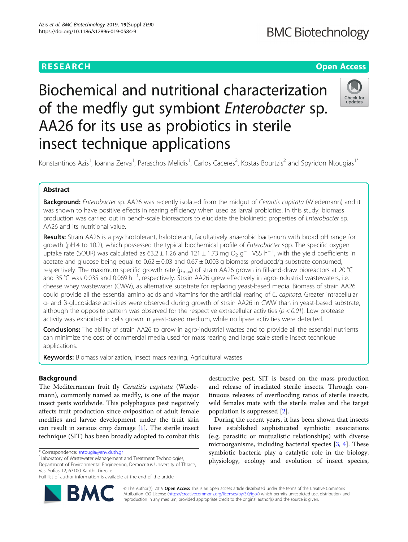# **RESEARCH CHE Open Access**

# Biochemical and nutritional characterization of the medfly gut symbiont Enterobacter sp. AA26 for its use as probiotics in sterile insect technique applications



Konstantinos Azis<sup>1</sup>, Ioanna Zerva<sup>1</sup>, Paraschos Melidis<sup>1</sup>, Carlos Caceres<sup>2</sup>, Kostas Bourtzis<sup>2</sup> and Spyridon Ntougias<sup>1\*</sup>

# Abstract

Background: Enterobacter sp. AA26 was recently isolated from the midqut of Ceratitis capitata (Wiedemann) and it was shown to have positive effects in rearing efficiency when used as larval probiotics. In this study, biomass production was carried out in bench-scale bioreactors to elucidate the biokinetic properties of Enterobacter sp. AA26 and its nutritional value.

Results: Strain AA26 is a psychrotolerant, halotolerant, facultatively anaerobic bacterium with broad pH range for growth (pH 4 to 10.2), which possessed the typical biochemical profile of Enterobacter spp. The specific oxygen uptake rate (SOUR) was calculated as  $63.2 \pm 1.26$  and  $121 \pm 1.73$  mg O<sub>2</sub> g<sup>-1</sup> VSS h<sup>-1</sup>, with the yield coefficients in acetate and glucose being equal to  $0.62 \pm 0.03$  and  $0.67 \pm 0.003$  g biomass produced/g substrate consumed, respectively. The maximum specific growth rate ( $\mu_{max}$ ) of strain AA26 grown in fill-and-draw bioreactors at 20 °C and 35 °C was 0.035 and 0.069 h<sup>−1</sup>, respectively. Strain AA26 grew effectively in agro-industrial wastewaters, i.e. cheese whey wastewater (CWW), as alternative substrate for replacing yeast-based media. Biomass of strain AA26 could provide all the essential amino acids and vitamins for the artificial rearing of C. capitata. Greater intracellular α- and β-glucosidase activities were observed during growth of strain AA26 in CWW than in yeast-based substrate, although the opposite pattern was observed for the respective extracellular activities ( $p < 0.01$ ). Low protease activity was exhibited in cells grown in yeast-based medium, while no lipase activities were detected.

**Conclusions:** The ability of strain AA26 to grow in agro-industrial wastes and to provide all the essential nutrients can minimize the cost of commercial media used for mass rearing and large scale sterile insect technique applications.

**Keywords:** Biomass valorization, Insect mass rearing, Agricultural wastes

# Background

The Mediterranean fruit fly Ceratitis capitata (Wiedemann), commonly named as medfly, is one of the major insect pests worldwide. This polyphagous pest negatively affects fruit production since oviposition of adult female medflies and larvae development under the fruit skin can result in serious crop damage [[1\]](#page-9-0). The sterile insect technique (SIT) has been broadly adopted to combat this

Full list of author information is available at the end of the article



destructive pest. SIT is based on the mass production and release of irradiated sterile insects. Through continuous releases of overflooding ratios of sterile insects, wild females mate with the sterile males and the target population is suppressed [[2\]](#page-9-0).

During the recent years, it has been shown that insects have established sophisticated symbiotic associations (e.g. parasitic or mutualistic relationships) with diverse microorganisms, including bacterial species [\[3](#page-9-0), [4](#page-9-0)]. These symbiotic bacteria play a catalytic role in the biology, physiology, ecology and evolution of insect species,

© The Author(s). 2019 Open Access This is an open access article distributed under the terms of the Creative Commons Attribution IGO License [\(https://creativecommons.org/licenses/by/3.0/igo/\)](https://creativecommons.org/licenses/by/3.0/igo/) which permits unrestricted use, distribution, and reproduction in any medium, provided appropriate credit to the original author(s) and the source is given.

<sup>\*</sup> Correspondence: [sntougia@env.duth.gr](mailto:sntougia@env.duth.gr) <sup>1</sup>

<sup>&</sup>lt;sup>1</sup> Laboratory of Wastewater Management and Treatment Technologies, Department of Environmental Engineering, Democritus University of Thrace, Vas. Sofias 12, 67100 Xanthi, Greece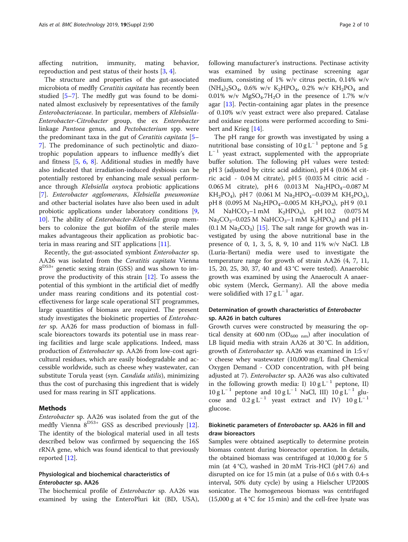affecting nutrition, immunity, mating behavior, reproduction and pest status of their hosts [\[3](#page-9-0), [4](#page-9-0)].

The structure and properties of the gut-associated microbiota of medfly *Ceratitis capitata* has recently been studied [\[5](#page-9-0)–[7\]](#page-9-0). The medfly gut was found to be dominated almost exclusively by representatives of the family Enterobacteriaceae. In particular, members of Klebsiella-Enterobacter-Citrobacter group, the ex Enterobacter linkage Pantoea genus, and Pectobacterium spp. were the predominant taxa in the gut of Ceratitis capitata [[5](#page-9-0)– [7\]](#page-9-0). The predominance of such pectinolytic and diazotrophic population appears to influence medfly's diet and fitness [[5,](#page-9-0) [6](#page-9-0), [8\]](#page-9-0). Additional studies in medfly have also indicated that irradiation-induced dysbiosis can be potentially restored by enhancing male sexual performance through Klebsiella oxytoca probiotic applications [[7\]](#page-9-0). Enterobacter agglomerans, Klebsiella pneumoniae and other bacterial isolates have also been used in adult probiotic applications under laboratory conditions [\[9](#page-9-0), [10\]](#page-9-0). The ability of Enterobacter-Klebsiella group members to colonize the gut biofilm of the sterile males makes advantageous their application as probiotic bacteria in mass rearing and SIT applications [\[11](#page-9-0)].

Recently, the gut-associated symbiont Enterobacter sp. AA26 was isolated from the Ceratitis capitata Vienna  $8^{D53+}$  genetic sexing strain (GSS) and was shown to improve the productivity of this strain [[12\]](#page-9-0). To assess the potential of this symbiont in the artificial diet of medfly under mass rearing conditions and its potential costeffectiveness for large scale operational SIT programmes, large quantities of biomass are required. The present study investigates the biokinetic properties of Enterobacter sp. AA26 for mass production of biomass in fullscale bioreactors towards its potential use in mass rearing facilities and large scale applications. Indeed, mass production of Enterobacter sp. AA26 from low-cost agricultural residues, which are easily biodegradable and accessible worldwide, such as cheese whey wastewater, can substitute Torula yeast (syn. Candida utilis), minimizing thus the cost of purchasing this ingredient that is widely used for mass rearing in SIT applications.

# Methods

Enterobacter sp. AA26 was isolated from the gut of the medfly Vienna  $8^{D53+}$  GSS as described previously [\[12](#page-9-0)]. The identity of the biological material used in all tests described below was confirmed by sequencing the 16S rRNA gene, which was found identical to that previously reported [[12](#page-9-0)].

# Physiological and biochemical characteristics of Enterobacter sp. AA26

The biochemical profile of Enterobacter sp. AA26 was examined by using the EnteroPluri kit (BD, USA), following manufacturer's instructions. Pectinase activity was examined by using pectinase screening agar medium, consisting of 1% w/v citrus pectin, 0.14% w/v  $(NH_4)_{2}SO_4$ , 0.6% w/v K<sub>2</sub>HPO<sub>4</sub>, 0.2% w/v KH<sub>2</sub>PO<sub>4</sub> and 0.01% w/v  $MgSO<sub>4</sub>$ .7H<sub>2</sub>O in the presence of 1.7% w/v agar  $[13]$  $[13]$ . Pectin-containing agar plates in the presence of 0.10% w/v yeast extract were also prepared. Catalase and oxidase reactions were performed according to Smibert and Krieg [[14\]](#page-9-0).

The pH range for growth was investigated by using a nutritional base consisting of  $10 g L^{-1}$  peptone and 5 g  $L^{-1}$  yeast extract, supplemented with the appropriate buffer solution. The following pH values were tested: pH 3 (adjusted by citric acid addition), pH 4 (0.06 M citric acid - 0.04 M citrate), pH 5 (0.035 M citric acid - 0.065 M citrate), pH 6  $(0.013 M$  Na<sub>2</sub>HPO<sub>4</sub>-0.087 M  $KH_2PO_4$ ), pH 7 (0.061 M Na<sub>2</sub>HPO<sub>4</sub>–0.039 M KH<sub>2</sub>PO<sub>4</sub>), pH 8 (0.095 M Na<sub>2</sub>HPO<sub>4</sub>-0.005 M KH<sub>2</sub>PO<sub>4</sub>), pH 9 (0.1 M NaHCO<sub>3</sub>-1 mM K<sub>2</sub>HPO<sub>4</sub>), pH 10.2 (0.075 M  $Na_2CO_3-0.025$  M NaHCO<sub>3</sub>–1 mM K<sub>2</sub>HPO<sub>4</sub>) and pH 11  $(0.1 M Na<sub>2</sub>CO<sub>3</sub>)$  [\[15\]](#page-9-0). The salt range for growth was investigated by using the above nutritional base in the presence of 0, 1, 3, 5, 8, 9, 10 and 11% w/v NaCl. LB (Luria-Bertani) media were used to investigate the temperature range for growth of strain AA26 (4, 7, 11, 15, 20, 25, 30, 37, 40 and 43 °C were tested). Anaerobic growth was examined by using the Anaerocult A anaerobic system (Merck, Germany). All the above media were solidified with 17 g  $L^{-1}$  agar.

# Determination of growth characteristics of Enterobacter sp. AA26 in batch cultures

Growth curves were constructed by measuring the optical density at 600 nm ( $OD<sub>600 nm</sub>$ ) after inoculation of LB liquid media with strain AA26 at 30 °C. In addition, growth of Enterobacter sp. AA26 was examined in 1:5 v/ v cheese whey wastewater (10,000 mg/L final Chemical Oxygen Demand - COD concentration, with pH being adjusted at 7). Enterobacter sp. AA26 was also cultivated in the following growth media: I)  $10 \text{ g L}^{-1}$  peptone, II)  $10 \text{ g L}^{-1}$  peptone and  $10 \text{ g L}^{-1}$  NaCl, III)  $10 \text{ g L}^{-1}$  glucose and  $0.2 g L^{-1}$  yeast extract and IV)  $10 g L^{-1}$ glucose.

# Biokinetic parameters of Enterobacter sp. AA26 in fill and draw bioreactors

Samples were obtained aseptically to determine protein biomass content during bioreactor operation. In details, the obtained biomass was centrifuged at 10,000 g for 5 min (at 4 °C), washed in 20 mM Tris-HCl (pH 7.6) and disrupted on ice for 15 min (at a pulse of 0.6 s with 0.4-s interval, 50% duty cycle) by using a Hielscher UP200S sonicator. The homogeneous biomass was centrifuged  $(15,000 \text{ g at } 4 \text{ °C}$  for 15 min) and the cell-free lysate was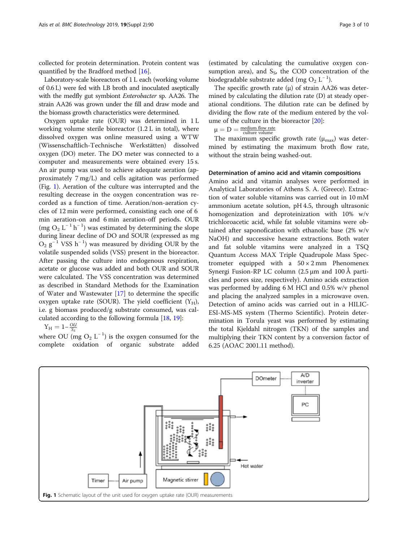collected for protein determination. Protein content was quantified by the Bradford method [\[16](#page-9-0)].

Laboratory-scale bioreactors of 1 L each (working volume of 0.6 L) were fed with LB broth and inoculated aseptically with the medfly gut symbiont Enterobacter sp. AA26. The strain AA26 was grown under the fill and draw mode and the biomass growth characteristics were determined.

Oxygen uptake rate (OUR) was determined in 1 L working volume sterile bioreactor (1.2 L in total), where dissolved oxygen was online measured using a WTW (Wissenschaftlich-Technische Werkstätten) dissolved oxygen (DO) meter. The DO meter was connected to a computer and measurements were obtained every 15 s. An air pump was used to achieve adequate aeration (approximately 7 mg/L) and cells agitation was performed (Fig. 1). Aeration of the culture was interrupted and the resulting decrease in the oxygen concentration was recorded as a function of time. Aeration/non-aeration cycles of 12 min were performed, consisting each one of 6 min aeration-on and 6 min aeration-off periods. OUR (mg  $O_2$  L<sup>-1</sup> h<sup>-1</sup>) was estimated by determining the slope during linear decline of DO and SOUR (expressed as mg  $O_2$   $g^{-1}$  VSS h<sup>-1</sup>) was measured by dividing OUR by the volatile suspended solids (VSS) present in the bioreactor. After passing the culture into endogenous respiration, acetate or glucose was added and both OUR and SOUR were calculated. The VSS concentration was determined as described in Standard Methods for the Examination of Water and Wastewater [[17\]](#page-9-0) to determine the specific oxygen uptake rate (SOUR). The yield coefficient  $(Y_H)$ , i.e. g biomass produced/g substrate consumed, was calculated according to the following formula [[18,](#page-9-0) [19\]](#page-9-0):

 $Y_H = 1-\frac{OU}{S_S}$ 

where OU (mg  $O_2$  L<sup>-1</sup>) is the oxygen consumed for the complete oxidation of organic substrate added

(estimated by calculating the cumulative oxygen consumption area), and  $S_S$ , the COD concentration of the biodegradable substrate added (mg  $O_2$  L<sup>-1</sup>).

The specific growth rate  $(\mu)$  of strain AA26 was determined by calculating the dilution rate (D) at steady operational conditions. The dilution rate can be defined by dividing the flow rate of the medium entered by the volume of the culture in the bioreactor [[20](#page-9-0)]:

 $\mu = D = \frac{\text{medium flow rate}}{\text{ culture volume}}$ 

The maximum specific growth rate  $(\mu_{\text{max}})$  was determined by estimating the maximum broth flow rate, without the strain being washed-out.

#### Determination of amino acid and vitamin compositions

Amino acid and vitamin analyses were performed in Analytical Laboratories of Athens S. A. (Greece). Extraction of water soluble vitamins was carried out in 10 mM ammonium acetate solution, pH 4.5, through ultrasonic homogenization and deproteinization with 10% w/v trichloroacetic acid, while fat soluble vitamins were obtained after saponofication with ethanolic base (2% w/v NaOH) and successive hexane extractions. Both water and fat soluble vitamins were analyzed in a TSQ Quantum Access MAX Triple Quadrupole Mass Spectrometer equipped with a  $50 \times 2$  mm Phenomenex Synergi Fusion-RP LC column (2.5 μm and 100 Å particles and pores size, respectively). Amino acids extraction was performed by adding 6 M HCl and 0.5% w/v phenol and placing the analyzed samples in a microwave oven. Detection of amino acids was carried out in a HILIC-ESI-MS-MS system (Thermo Scientific). Protein determination in Torula yeast was performed by estimating the total Kjeldahl nitrogen (TKN) of the samples and multiplying their TKN content by a conversion factor of 6.25 (AOAC 2001.11 method).

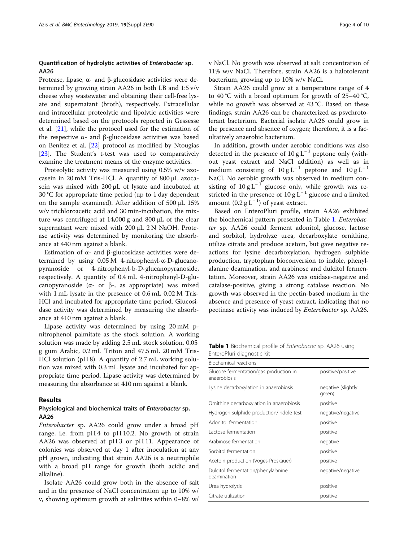# Quantification of hydrolytic activities of Enterobacter sp. AA26

Protease, lipase, α- and β-glucosidase activities were determined by growing strain AA26 in both LB and 1:5 v/v cheese whey wastewater and obtaining their cell-free lysate and supernatant (broth), respectively. Extracellular and intracellular proteolytic and lipolytic activities were determined based on the protocols reported in Gessesse et al. [[21\]](#page-9-0), while the protocol used for the estimation of the respective α- and β-glucosidase activities was based on Benitez et al. [[22\]](#page-9-0) protocol as modified by Ntougias [[23\]](#page-9-0). The Student's t-test was used to comparatively examine the treatment means of the enzyme activities.

Proteolytic activity was measured using 0.5% w/v azocasein in 20 mM Tris-HCl. A quantity of 800 μL azocasein was mixed with 200 μL of lysate and incubated at 30 °C for appropriate time period (up to 1 day dependent on the sample examined). After addition of 500 μL 15% w/v trichloroacetic acid and 30 min-incubation, the mixture was centrifuged at 14,000 g and 800 μL of the clear supernatant were mixed with 200 μL 2 N NaOH. Protease activity was determined by monitoring the absorbance at 440 nm against a blank.

Estimation of  $\alpha$ - and β-glucosidase activities were determined by using 0.05 M 4-nitrophenyl-α-D-glucanopyranoside or 4-nitrophenyl-b-D-glucanopyranoside, respectively. A quantity of 0.4 mL 4-nitrophenyl-D-glucanopyranoside (α- or β-, as appropriate) was mixed with 1 mL lysate in the presence of 0.6 mL 0.02 M Tris-HCl and incubated for appropriate time period. Glucosidase activity was determined by measuring the absorbance at 410 nm against a blank.

Lipase activity was determined by using 20 mM pnitrophenol palmitate as the stock solution. A working solution was made by adding 2.5 mL stock solution, 0.05 g gum Arabic, 0.2 mL Triton and 47.5 mL 20 mM Tris-HCl solution (pH 8). A quantity of 2.7 mL working solution was mixed with 0.3 mL lysate and incubated for appropriate time period. Lipase activity was determined by measuring the absorbance at 410 nm against a blank.

#### Results

# Physiological and biochemical traits of Enterobacter sp. AA26

Enterobacter sp. AA26 could grow under a broad pH range, i.e. from pH 4 to pH 10.2. No growth of strain AA26 was observed at pH 3 or pH 11. Appearance of colonies was observed at day 1 after inoculation at any pH grown, indicating that strain AA26 is a neutrophile with a broad pH range for growth (both acidic and alkaline).

Isolate AA26 could grow both in the absence of salt and in the presence of NaCl concentration up to 10% w/ v, showing optimum growth at salinities within 0–8% w/ v NaCl. No growth was observed at salt concentration of 11% w/v NaCl. Therefore, strain AA26 is a halotolerant bacterium, growing up to 10% w/v NaCl.

Strain AA26 could grow at a temperature range of 4 to 40 °C with a broad optimum for growth of  $25-40$  °C, while no growth was observed at 43 °C. Based on these findings, strain AA26 can be characterized as psychrotolerant bacterium. Bacterial isolate AA26 could grow in the presence and absence of oxygen; therefore, it is a facultatively anaerobic bacterium.

In addition, growth under aerobic conditions was also detected in the presence of  $10 \text{ g L}^{-1}$  peptone only (without yeast extract and NaCl addition) as well as in medium consisting of  $10 g L^{-1}$  peptone and  $10 g L^{-1}$ NaCl. No aerobic growth was observed in medium consisting of  $10 g L^{-1}$  glucose only, while growth was restricted in the presence of  $10 g L^{-1}$  glucose and a limited amount  $(0.2 g L^{-1})$  of yeast extract.

Based on EnteroPluri profile, strain AA26 exhibited the biochemical pattern presented in Table 1. Enterobacter sp. AA26 could ferment adonitol, glucose, lactose and sorbitol, hydrolyze urea, decarboxylate ornithine, utilize citrate and produce acetoin, but gave negative reactions for lysine decarboxylation, hydrogen sulphide production, tryptophan bioconversion to indole, phenylalanine deamination, and arabinose and dulcitol fermentation. Moreover, strain AA26 was oxidase-negative and catalase-positive, giving a strong catalase reaction. No growth was observed in the pectin-based medium in the absence and presence of yeast extract, indicating that no pectinase activity was induced by Enterobacter sp. AA26.

Table 1 Biochemical profile of Enterobacter sp. AA26 using EnteroPluri diagnostic kit

| Biochemical reactions                                  |                              |  |  |
|--------------------------------------------------------|------------------------------|--|--|
| Glucose fermentation/gas production in<br>anaerobiosis | positive/positive            |  |  |
| Lysine decarboxylation in anaerobiosis                 | negative (slightly<br>green) |  |  |
| Ornithine decarboxylation in anaerobiosis              | positive                     |  |  |
| Hydrogen sulphide production/indole test               | negative/negative            |  |  |
| Adonitol fermentation                                  | positive                     |  |  |
| Lactose fermentation                                   | positive                     |  |  |
| Arabinose fermentation                                 | negative                     |  |  |
| Sorbitol fermentation                                  | positive                     |  |  |
| Acetoin production (Voges-Proskauer)                   | positive                     |  |  |
| Dulcitol fermentation/phenylalanine<br>deamination     | negative/negative            |  |  |
| Urea hydrolysis                                        | positive                     |  |  |
| Citrate utilization                                    | positive                     |  |  |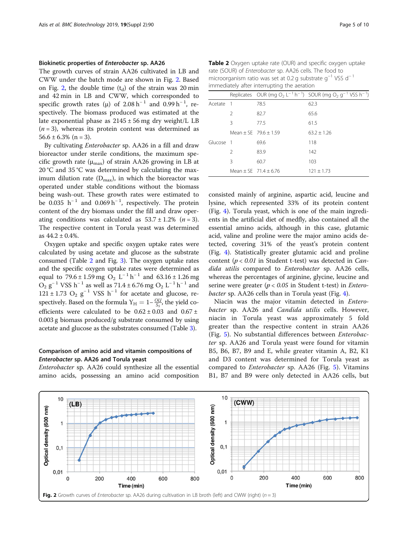## Biokinetic properties of Enterobacter sp. AA26

The growth curves of strain AA26 cultivated in LB and CWW under the batch mode are shown in Fig. 2. Based on Fig. 2, the double time  $(t_d)$  of the strain was 20 min and 42 min in LB and CWW, which corresponded to specific growth rates ( $\mu$ ) of 2.08 h<sup>-1</sup> and 0.99 h<sup>-1</sup>, respectively. The biomass produced was estimated at the late exponential phase as  $2145 \pm 56$  mg dry weight/L LB  $(n = 3)$ , whereas its protein content was determined as  $56.6 \pm 6.3\%$  (n = 3).

By cultivating Enterobacter sp. AA26 in a fill and draw bioreactor under sterile conditions, the maximum specific growth rate ( $\mu_{\text{max}}$ ) of strain AA26 growing in LB at 20 °C and 35 °C was determined by calculating the maximum dilution rate  $(D_{\text{max}})$ , in which the bioreactor was operated under stable conditions without the biomass being wash-out. These growth rates were estimated to be 0.035  $h^{-1}$  and 0.069  $h^{-1}$ , respectively. The protein content of the dry biomass under the fill and draw operating conditions was calculated as  $53.7 \pm 1.2\%$  (*n* = 3). The respective content in Torula yeast was determined as  $44.2 \pm 0.4\%$ .

Oxygen uptake and specific oxygen uptake rates were calculated by using acetate and glucose as the substrate consumed (Table 2 and Fig. [3](#page-5-0)). The oxygen uptake rates and the specific oxygen uptake rates were determined as equal to 79.6 ± 1.59 mg O<sub>2</sub> L<sup>-1</sup> h<sup>-1</sup> and 63.16 ± 1.26 mg  $O_2$  g<sup>-1</sup> VSS h<sup>-1</sup> as well as 71.4 ± 6.76 mg  $O_2$  L<sup>-1</sup> h<sup>-1</sup> and  $121 \pm 1.73$  O<sub>2</sub> g<sup>-1</sup> VSS h<sup>-1</sup> for acetate and glucose, respectively. Based on the formula  $Y_H = 1 - \frac{OU}{S_S}$ , the yield coefficients were calculated to be  $0.62 \pm 0.03$  and  $0.67 \pm$ 0.003 g biomass produced/g substrate consumed by using acetate and glucose as the substrates consumed (Table [3\)](#page-5-0).

# Comparison of amino acid and vitamin compositions of Enterobacter sp. AA26 and Torula yeast

Enterobacter sp. AA26 could synthesize all the essential amino acids, possessing an amino acid composition

Table 2 Oxygen uptake rate (OUR) and specific oxygen uptake rate (SOUR) of Enterobacter sp. AA26 cells. The food to microorganism ratio was set at 0.2 g substrate g−<sup>1</sup> VSS d<sup>−</sup> <sup>1</sup> immediately after interrupting the aeration

|           |               |                         | Replicates OUR (mg O <sub>2</sub> L <sup>-1</sup> h <sup>-1</sup> ) SOUR (mg O <sub>2</sub> g <sup>-1</sup> VSS h <sup>-1</sup> ) |
|-----------|---------------|-------------------------|-----------------------------------------------------------------------------------------------------------------------------------|
| Acetate 1 |               | 78.5                    | 62.3                                                                                                                              |
|           | $\mathcal{P}$ | 82.7                    | 65.6                                                                                                                              |
|           | Β             | 775                     | 61.5                                                                                                                              |
|           |               | Mean + SF $79.6 + 1.59$ | $63.2 + 1.26$                                                                                                                     |
| Glucose 1 |               | 69.6                    | 118                                                                                                                               |
|           | $\mathcal{P}$ | 83.9                    | 142                                                                                                                               |
|           | Β             | 60.7                    | 103                                                                                                                               |
|           |               | Mean + SF $71.4 + 6.76$ | $121 + 1.73$                                                                                                                      |

consisted mainly of arginine, aspartic acid, leucine and lysine, which represented 33% of its protein content (Fig. [4](#page-6-0)). Torula yeast, which is one of the main ingredients in the artificial diet of medfly, also contained all the essential amino acids, although in this case, glutamic acid, valine and proline were the major amino acids detected, covering 31% of the yeast's protein content (Fig. [4](#page-6-0)). Statistically greater glutamic acid and proline content ( $p < 0.01$  in Student t-test) was detected in *Can*dida utilis compared to Enterobacter sp. AA26 cells, whereas the percentages of arginine, glycine, leucine and serine were greater ( $p < 0.05$  in Student t-test) in *Entero-*bacter sp. AA26 cells than in Torula yeast (Fig. [4\)](#page-6-0).

Niacin was the major vitamin detected in Enterobacter sp. AA26 and Candida utilis cells. However, niacin in Torula yeast was approximately 5 fold greater than the respective content in strain AA26 (Fig. [5\)](#page-6-0). Νo substantial differences between Enterobacter sp. AA26 and Torula yeast were found for vitamin B5, B6, B7, B9 and E, while greater vitamin A, B2, K1 and D3 content was determined for Torula yeast as compared to Enterobacter sp. AA26 (Fig. [5](#page-6-0)). Vitamins B1, B7 and B9 were only detected in AA26 cells, but

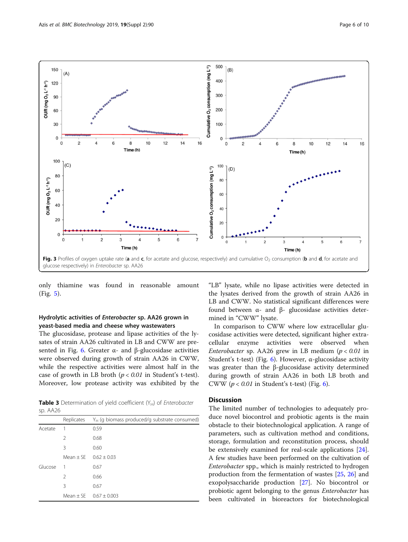<span id="page-5-0"></span>

only thiamine was found in reasonable amount (Fig. [5\)](#page-6-0).

# Hydrolytic activities of Enterobacter sp. AA26 grown in yeast-based media and cheese whey wastewaters

The glucosidase, protease and lipase activities of the lysates of strain AA26 cultivated in LB and CWW are presented in Fig. [6.](#page-7-0) Greater α- and β-glucosidase activities were observed during growth of strain AA26 in CWW, while the respective activities were almost half in the case of growth in LB broth  $(p < 0.01$  in Student's t-test). Moreover, low protease activity was exhibited by the

**Table 3** Determination of yield coefficient  $(Y_H)$  of *Enterobacter* sp. AA26

|         | Replicates    | $Y_H$ (g biomass produced/g substrate consumed) |  |  |
|---------|---------------|-------------------------------------------------|--|--|
| Acetate |               | 0.59                                            |  |  |
|         | $\mathcal{P}$ | 0.68                                            |  |  |
|         | 3             | 0.60                                            |  |  |
|         | Mean $\pm$ SE | $0.62 + 0.03$                                   |  |  |
| Glucose |               | 0.67                                            |  |  |
|         | $\mathcal{P}$ | 0.66                                            |  |  |
|         | 3             | 0.67                                            |  |  |
|         |               | Mean $\pm$ SE 0.67 $\pm$ 0.003                  |  |  |

"LB" lysate, while no lipase activities were detected in the lysates derived from the growth of strain AA26 in LB and CWW. No statistical significant differences were found between α- and β- glucosidase activities determined in "CWW" lysate.

In comparison to CWW where low extracellular glucosidase activities were detected, significant higher extracellular enzyme activities were observed when Enterobacter sp. AA26 grew in LB medium ( $p < 0.01$  in Student's t-test) (Fig. [6\)](#page-7-0). However,  $\alpha$ -glucosidase activity was greater than the β-glucosidase activity determined during growth of strain AA26 in both LB broth and CWW ( $p < 0.01$  in Student's t-test) (Fig. [6](#page-7-0)).

# **Discussion**

The limited number of technologies to adequately produce novel biocontrol and probiotic agents is the main obstacle to their biotechnological application. A range of parameters, such as cultivation method and conditions, storage, formulation and reconstitution process, should be extensively examined for real-scale applications [\[24](#page-9-0)]. A few studies have been performed on the cultivation of Enterobacter spp., which is mainly restricted to hydrogen production from the fermentation of wastes [\[25](#page-9-0), [26](#page-9-0)] and exopolysaccharide production [\[27](#page-9-0)]. No biocontrol or probiotic agent belonging to the genus Enterobacter has been cultivated in bioreactors for biotechnological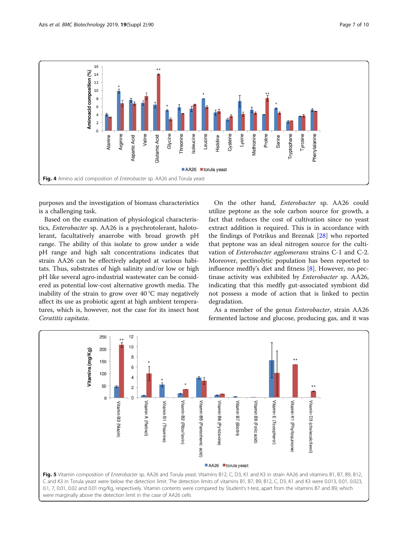<span id="page-6-0"></span>

purposes and the investigation of biomass characteristics is a challenging task.

Based on the examination of physiological characteristics, Enterobacter sp. AA26 is a psychrotolerant, halotolerant, facultatively anaerobe with broad growth pH range. The ability of this isolate to grow under a wide pH range and high salt concentrations indicates that strain AA26 can be effectively adapted at various habitats. Thus, substrates of high salinity and/or low or high pH like several agro-industrial wastewater can be considered as potential low-cost alternative growth media. The inability of the strain to grow over 40 °C may negatively affect its use as probiotic agent at high ambient temperatures, which is, however, not the case for its insect host Ceratitis capitata.

On the other hand, Enterobacter sp. AA26 could utilize peptone as the sole carbon source for growth, a fact that reduces the cost of cultivation since no yeast extract addition is required. This is in accordance with the findings of Potrikus and Breznak [[28\]](#page-9-0) who reported that peptone was an ideal nitrogen source for the cultivation of Enterobacter agglomerans strains C-1 and C-2. Moreover, pectinolytic population has been reported to influence medfly's diet and fitness [[8](#page-9-0)]. However, no pectinase activity was exhibited by Enterobacter sp. AA26, indicating that this medfly gut-associated symbiont did not possess a mode of action that is linked to pectin degradation.

As a member of the genus Enterobacter, strain AA26 fermented lactose and glucose, producing gas, and it was

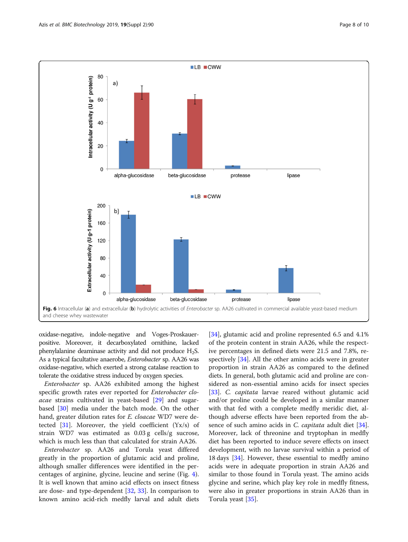<span id="page-7-0"></span>

oxidase-negative, indole-negative and Voges-Proskauerpositive. Moreover, it decarboxylated ornithine, lacked phenylalanine deaminase activity and did not produce  $H_2S$ . As a typical facultative anaerobe, Enterobacter sp. AA26 was oxidase-negative, which exerted a strong catalase reaction to tolerate the oxidative stress induced by oxygen species.

Enterobacter sp. AA26 exhibited among the highest specific growth rates ever reported for Enterobacter cloacae strains cultivated in yeast-based [\[29](#page-9-0)] and sugarbased [\[30\]](#page-9-0) media under the batch mode. On the other hand, greater dilution rates for E. cloacae WD7 were detected  $[31]$  $[31]$  $[31]$ . Moreover, the yield coefficient  $(Yx/s)$  of strain WD7 was estimated as 0.03 g cells/g sucrose, which is much less than that calculated for strain AA26.

Enterobacter sp. AA26 and Torula yeast differed greatly in the proportion of glutamic acid and proline, although smaller differences were identified in the percentages of arginine, glycine, leucine and serine (Fig. [4](#page-6-0)). It is well known that amino acid effects on insect fitness are dose- and type-dependent [[32,](#page-9-0) [33\]](#page-9-0). In comparison to known amino acid-rich medfly larval and adult diets

[[34\]](#page-9-0), glutamic acid and proline represented 6.5 and 4.1% of the protein content in strain AA26, while the respective percentages in defined diets were 21.5 and 7.8%, respectively [\[34](#page-9-0)]. All the other amino acids were in greater proportion in strain AA26 as compared to the defined diets. In general, both glutamic acid and proline are considered as non-essential amino acids for insect species [[33\]](#page-9-0). C. capitata larvae reared without glutamic acid and/or proline could be developed in a similar manner with that fed with a complete medfly meridic diet, although adverse effects have been reported from the ab-sence of such amino acids in C. capitata adult diet [\[34](#page-9-0)]. Moreover, lack of threonine and tryptophan in medfly diet has been reported to induce severe effects on insect development, with no larvae survival within a period of 18 days [[34\]](#page-9-0). However, these essential to medfly amino acids were in adequate proportion in strain AA26 and similar to those found in Torula yeast. The amino acids glycine and serine, which play key role in medfly fitness, were also in greater proportions in strain AA26 than in Torula yeast [[35](#page-9-0)].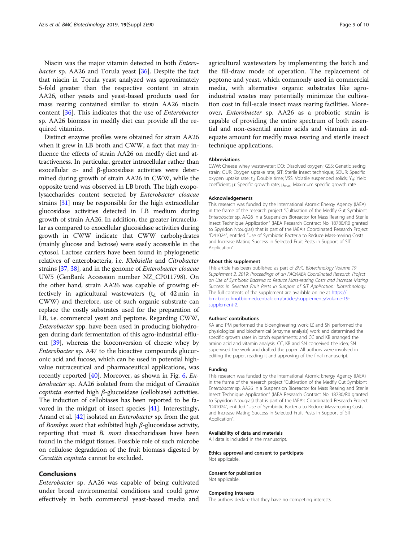Niacin was the major vitamin detected in both Entero*bacter* sp. AA26 and Torula yeast  $[36]$  $[36]$  $[36]$ . Despite the fact that niacin in Torula yeast analyzed was approximately 5-fold greater than the respective content in strain AA26, other yeasts and yeast-based products used for mass rearing contained similar to strain AA26 niacin content [[36](#page-9-0)]. This indicates that the use of Enterobacter sp. AA26 biomass in medfly diet can provide all the required vitamins.

Distinct enzyme profiles were obtained for strain AA26 when it grew in LB broth and CWW, a fact that may influence the effects of strain AA26 on medfly diet and attractiveness. In particular, greater intracellular rather than exocellular α- and β-glucosidase activities were determined during growth of strain AA26 in CWW, while the opposite trend was observed in LB broth. The high exopolysaccharides content secreted by Enterobacter cloacae strains [[31](#page-9-0)] may be responsible for the high extracellular glucosidase activities detected in LB medium during growth of strain AA26. In addition, the greater intracellular as compared to exocellular glucosidase activities during growth in CWW indicate that CWW carbohydrates (mainly glucose and lactose) were easily accessible in the cytosol. Lactose carriers have been found in phylogenetic relatives of enterobacteria, i.e. Klebsiella and Citrobacter strains [[37](#page-9-0), [38\]](#page-9-0), and in the genome of Enterobacter cloacae UW5 (GenBank Accession number NZ\_CP011798). On the other hand, strain AA26 was capable of growing effectively in agricultural wastewaters  $(t_d \text{ of } 42 \text{ min in})$ CWW) and therefore, use of such organic substrate can replace the costly substrates used for the preparation of LB, i.e. commercial yeast and peptone. Regarding CWW, Enterobacter spp. have been used in producing biohydrogen during dark fermentation of this agro-industrial effluent [\[39\]](#page-9-0), whereas the bioconversion of cheese whey by Enterobacter sp. A47 to the bioactive compounds glucuronic acid and fucose, which can be used in potential highvalue nutraceutical and pharmaceutical applications, was recently reported [[40](#page-9-0)]. Moreover, as shown in Fig.  $6$ , *En*terobacter sp. AA26 isolated from the midgut of Ceratitis capitata exerted high β-glucosidase (cellobiase) activities. The induction of cellobiases has been reported to be favored in the midgut of insect species [[41](#page-9-0)]. Interestingly, Anand et al. [\[42](#page-9-0)] isolated an *Enterobacter* sp. from the gut of Bombyx mori that exhibited high  $\beta$ -glucosidase activity, reporting that most B. mori disaccharidases have been found in the midgut tissues. Possible role of such microbe on cellulose degradation of the fruit biomass digested by Ceratitis capitata cannot be excluded.

# Conclusions

Enterobacter sp. AA26 was capable of being cultivated under broad environmental conditions and could grow effectively in both commercial yeast-based media and agricultural wastewaters by implementing the batch and the fill-draw mode of operation. The replacement of peptone and yeast, which commonly used in commercial media, with alternative organic substrates like agroindustrial wastes may potentially minimize the cultivation cost in full-scale insect mass rearing facilities. Moreover, Enterobacter sp. AA26 as a probiotic strain is capable of providing the entire spectrum of both essential and non-essential amino acids and vitamins in adequate amount for medfly mass rearing and sterile insect technique applications.

#### **Abbreviations**

CWW: Cheese whey wastewater; DO: Dissolved oxygen; GSS: Genetic sexing strain; OUR: Oxygen uptake rate; SIT: Sterile insect technique; SOUR: Specific oxygen uptake rate; t<sub>d</sub>: Double time; VSS: Volatile suspended solids; Y<sub>H</sub>: Yield coefficient; μ: Specific growth rate; μ<sub>max</sub>: Maximum specific growth rate

#### Acknowledgements

This research was funded by the International Atomic Energy Agency (IAEA) in the frame of the research project "Cultivation of the Medfly Gut Symbiont Enterobacter sp. AA26 in a Suspension Bioreactor for Mass Rearing and Sterile Insect Technique Application" (IAEA Research Contract No. 18780/R0 granted to Spyridon Ntougias) that is part of the IAEA's Coordinated Research Project "D41024", entitled "Use of Symbiotic Bacteria to Reduce Mass-rearing Costs and Increase Mating Success in Selected Fruit Pests in Support of SIT Application".

#### About this supplement

This article has been published as part of BMC Biotechnology Volume 19 Supplement 2, 2019: Proceedings of an FAO/IAEA Coordinated Research Project on Use of Symbiotic Bacteria to Reduce Mass-rearing Costs and Increase Mating Success in Selected Fruit Pests in Support of SIT Application: biotechnology. The full contents of the supplement are available online at [https://](https://bmcbiotechnol.biomedcentral.com/articles/supplements/volume-19-supplement-2) [bmcbiotechnol.biomedcentral.com/articles/supplements/volume-19](https://bmcbiotechnol.biomedcentral.com/articles/supplements/volume-19-supplement-2) [supplement-2](https://bmcbiotechnol.biomedcentral.com/articles/supplements/volume-19-supplement-2).

#### Authors' contributions

KΑ and PM performed the bioengineering work; IZ and SN performed the physiological and biochemical (enzyme analysis) work and determined the specific growth rates in batch experiments; and CC and KB arranged the amino acid and vitamin analysis. CC, KB and SN conceived the idea; SN supervised the work and drafted the paper. All authors were involved in editing the paper, reading it and approving of the final manuscript.

#### Funding

This research was funded by the International Atomic Energy Agency (IAEA) in the frame of the research project "Cultivation of the Medfly Gut Symbiont Enterobacter sp. AA26 in a Suspension Bioreactor for Mass Rearing and Sterile Insect Technique Application" (IAEA Research Contract No. 18780/R0 granted to Spyridon Ntougias) that is part of the IAEA's Coordinated Research Project "D41024", entitled "Use of Symbiotic Bacteria to Reduce Mass-rearing Costs and Increase Mating Success in Selected Fruit Pests in Support of SIT Application".

#### Availability of data and materials

All data is included in the manuscript.

#### Ethics approval and consent to participate Not applicable.

#### Consent for publication

Not applicable.

#### Competing interests

The authors declare that they have no competing interests.